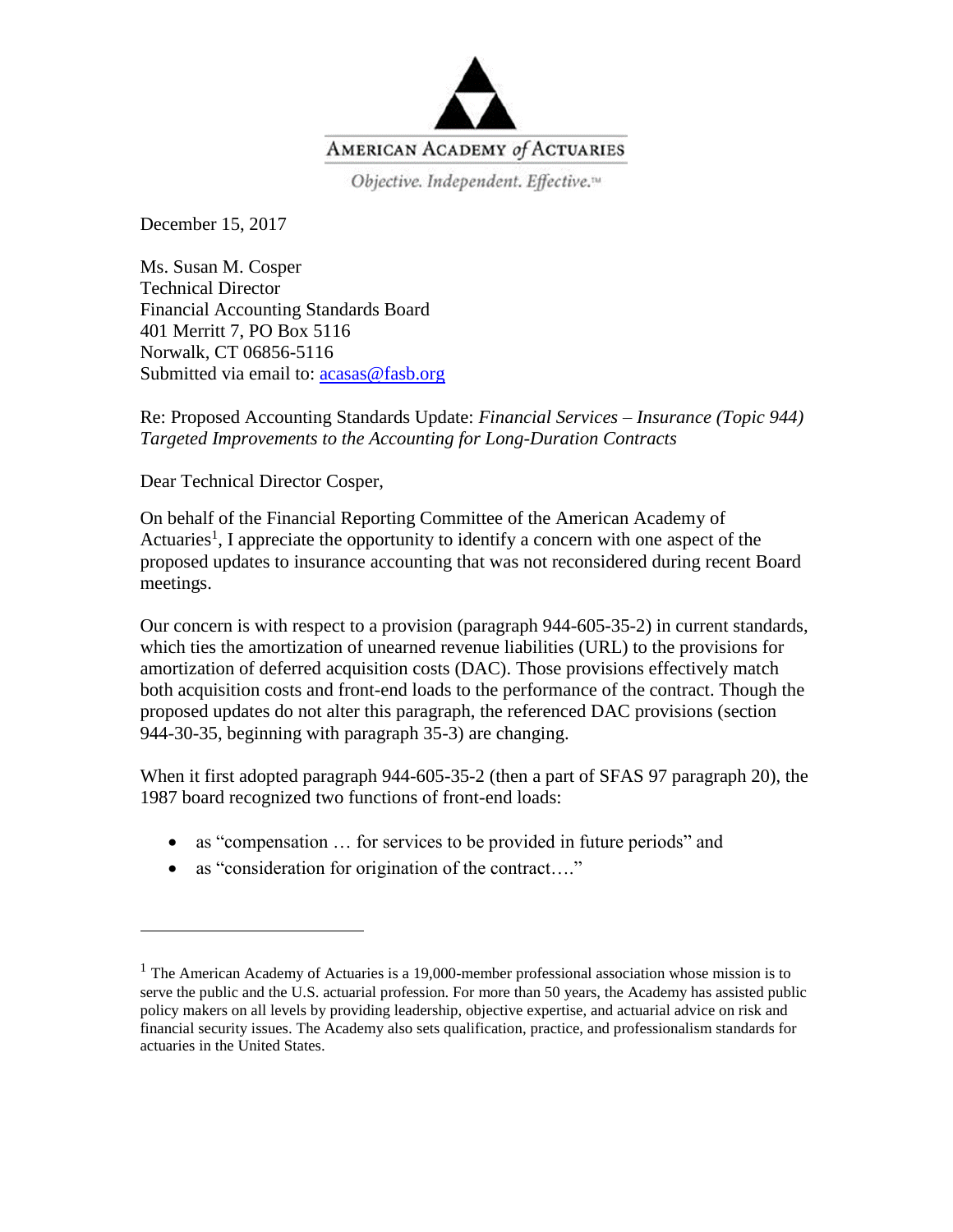

December 15, 2017

Ms. Susan M. Cosper Technical Director Financial Accounting Standards Board 401 Merritt 7, PO Box 5116 Norwalk, CT 06856-5116 Submitted via email to:  $acasa@fasb.org$ 

Re: Proposed Accounting Standards Update: *Financial Services – Insurance (Topic 944) Targeted Improvements to the Accounting for Long-Duration Contracts*

Dear Technical Director Cosper,

 $\overline{a}$ 

On behalf of the Financial Reporting Committee of the American Academy of Actuaries<sup>1</sup>, I appreciate the opportunity to identify a concern with one aspect of the proposed updates to insurance accounting that was not reconsidered during recent Board meetings.

Our concern is with respect to a provision (paragraph 944-605-35-2) in current standards, which ties the amortization of unearned revenue liabilities (URL) to the provisions for amortization of deferred acquisition costs (DAC). Those provisions effectively match both acquisition costs and front-end loads to the performance of the contract. Though the proposed updates do not alter this paragraph, the referenced DAC provisions (section 944-30-35, beginning with paragraph 35-3) are changing.

When it first adopted paragraph 944-605-35-2 (then a part of SFAS 97 paragraph 20), the 1987 board recognized two functions of front-end loads:

- as "compensation ... for services to be provided in future periods" and
- as "consideration for origination of the contract...."

 $<sup>1</sup>$  The American Academy of Actuaries is a 19,000-member professional association whose mission is to</sup> serve the public and the U.S. actuarial profession. For more than 50 years, the Academy has assisted public policy makers on all levels by providing leadership, objective expertise, and actuarial advice on risk and financial security issues. The Academy also sets qualification, practice, and professionalism standards for actuaries in the United States.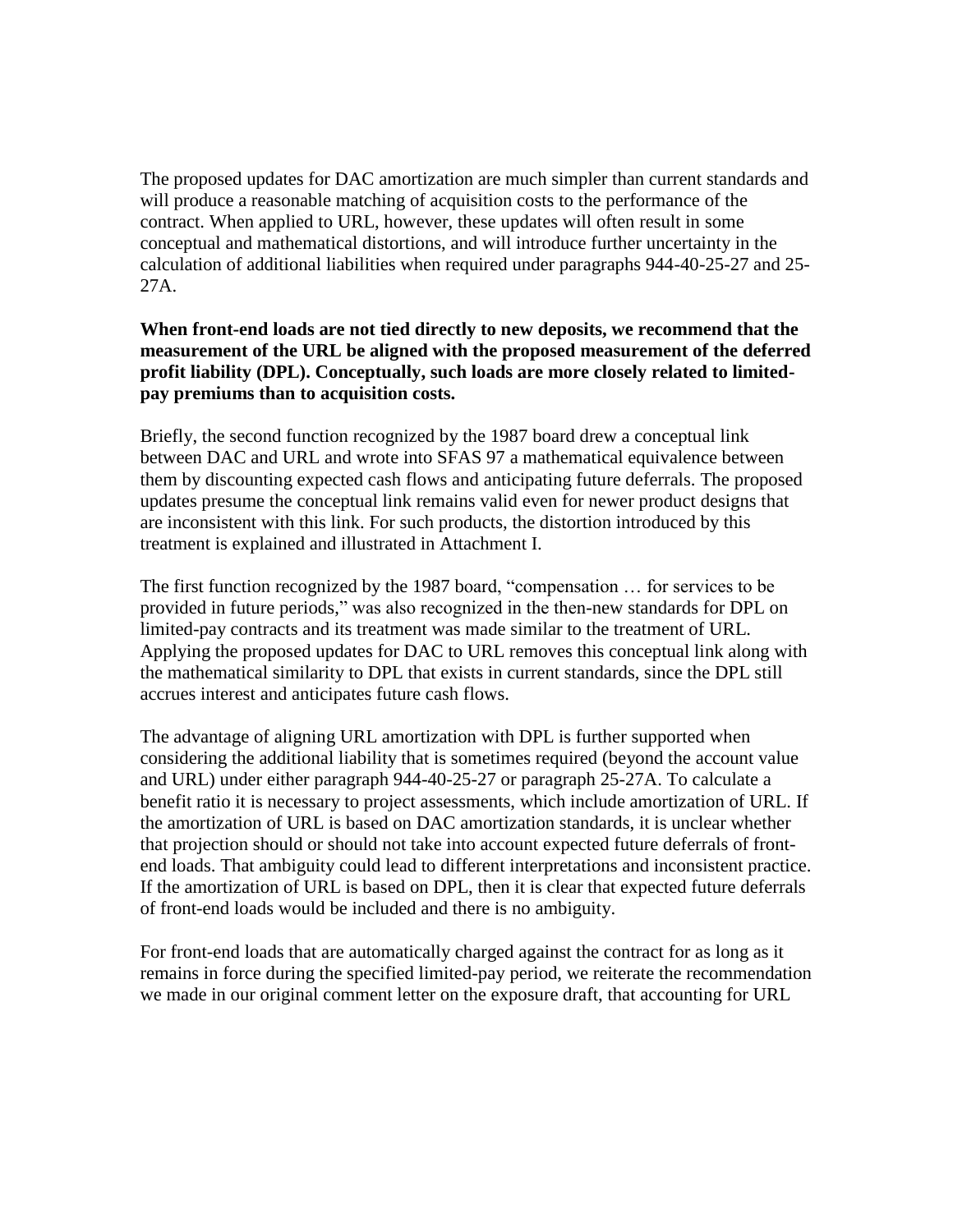The proposed updates for DAC amortization are much simpler than current standards and will produce a reasonable matching of acquisition costs to the performance of the contract. When applied to URL, however, these updates will often result in some conceptual and mathematical distortions, and will introduce further uncertainty in the calculation of additional liabilities when required under paragraphs 944-40-25-27 and 25- 27A.

## **When front-end loads are not tied directly to new deposits, we recommend that the measurement of the URL be aligned with the proposed measurement of the deferred profit liability (DPL). Conceptually, such loads are more closely related to limitedpay premiums than to acquisition costs.**

Briefly, the second function recognized by the 1987 board drew a conceptual link between DAC and URL and wrote into SFAS 97 a mathematical equivalence between them by discounting expected cash flows and anticipating future deferrals. The proposed updates presume the conceptual link remains valid even for newer product designs that are inconsistent with this link. For such products, the distortion introduced by this treatment is explained and illustrated in Attachment I.

The first function recognized by the 1987 board, "compensation … for services to be provided in future periods," was also recognized in the then-new standards for DPL on limited-pay contracts and its treatment was made similar to the treatment of URL. Applying the proposed updates for DAC to URL removes this conceptual link along with the mathematical similarity to DPL that exists in current standards, since the DPL still accrues interest and anticipates future cash flows.

The advantage of aligning URL amortization with DPL is further supported when considering the additional liability that is sometimes required (beyond the account value and URL) under either paragraph 944-40-25-27 or paragraph 25-27A. To calculate a benefit ratio it is necessary to project assessments, which include amortization of URL. If the amortization of URL is based on DAC amortization standards, it is unclear whether that projection should or should not take into account expected future deferrals of frontend loads. That ambiguity could lead to different interpretations and inconsistent practice. If the amortization of URL is based on DPL, then it is clear that expected future deferrals of front-end loads would be included and there is no ambiguity.

For front-end loads that are automatically charged against the contract for as long as it remains in force during the specified limited-pay period, we reiterate the recommendation we made in our original comment letter on the exposure draft, that accounting for URL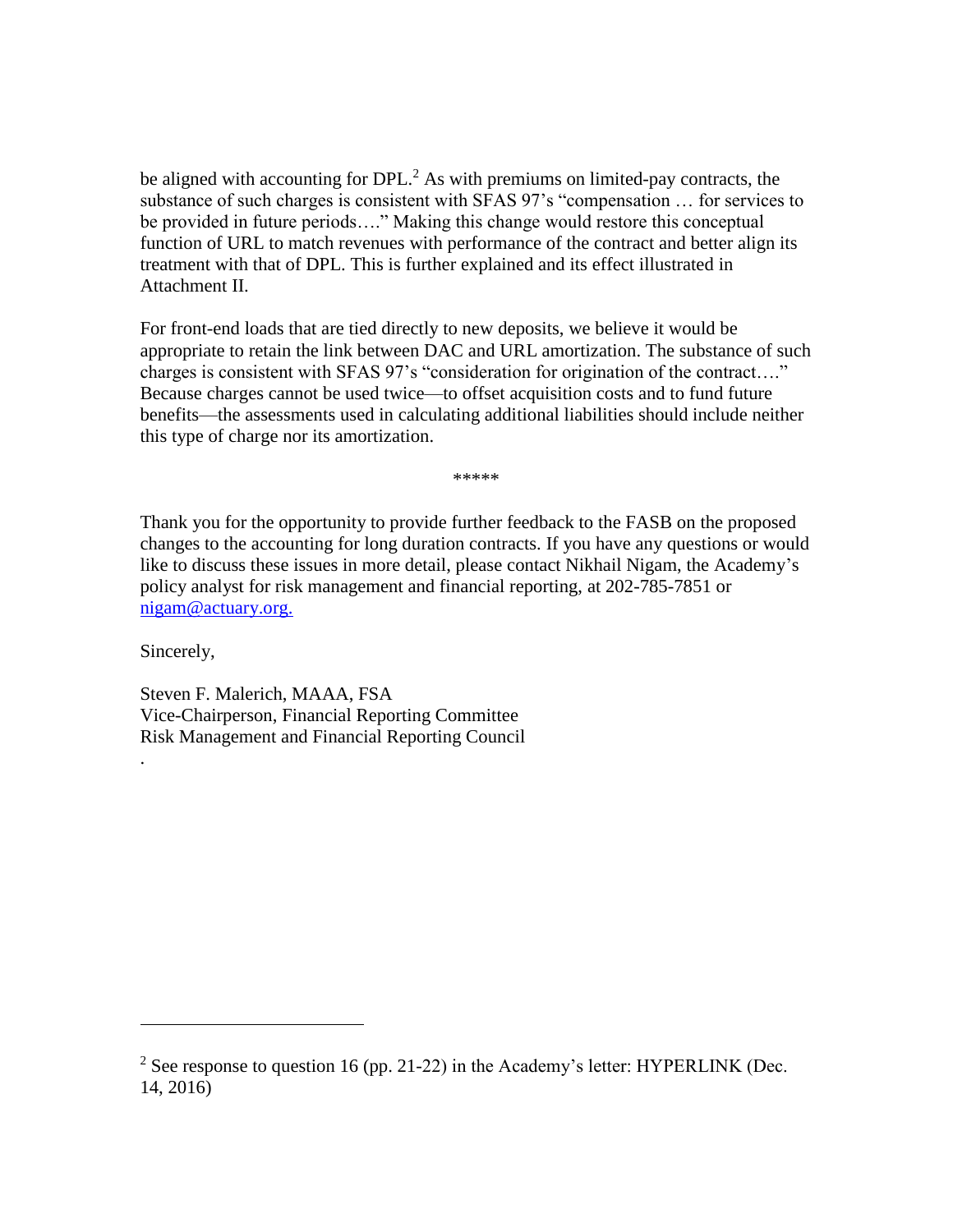be aligned with accounting for  $DPL<sup>2</sup>$ . As with premiums on limited-pay contracts, the substance of such charges is consistent with SFAS 97's "compensation … for services to be provided in future periods…." Making this change would restore this conceptual function of URL to match revenues with performance of the contract and better align its treatment with that of DPL. This is further explained and its effect illustrated in Attachment II.

For front-end loads that are tied directly to new deposits, we believe it would be appropriate to retain the link between DAC and URL amortization. The substance of such charges is consistent with SFAS 97's "consideration for origination of the contract…." Because charges cannot be used twice—to offset acquisition costs and to fund future benefits—the assessments used in calculating additional liabilities should include neither this type of charge nor its amortization.

\*\*\*\*\*

Thank you for the opportunity to provide further feedback to the FASB on the proposed changes to the accounting for long duration contracts. If you have any questions or would like to discuss these issues in more detail, please contact Nikhail Nigam, the Academy's policy analyst for risk management and financial reporting, at 202-785-7851 or [nigam@actuary.org.](mailto:nigam@actuary.org)

Sincerely,

.

 $\overline{a}$ 

Steven F. Malerich, MAAA, FSA Vice-Chairperson, Financial Reporting Committee Risk Management and Financial Reporting Council

<sup>&</sup>lt;sup>2</sup> See response to question 16 (pp. 21-22) in the Academy's letter: HYPERLINK (Dec. 14, 2016)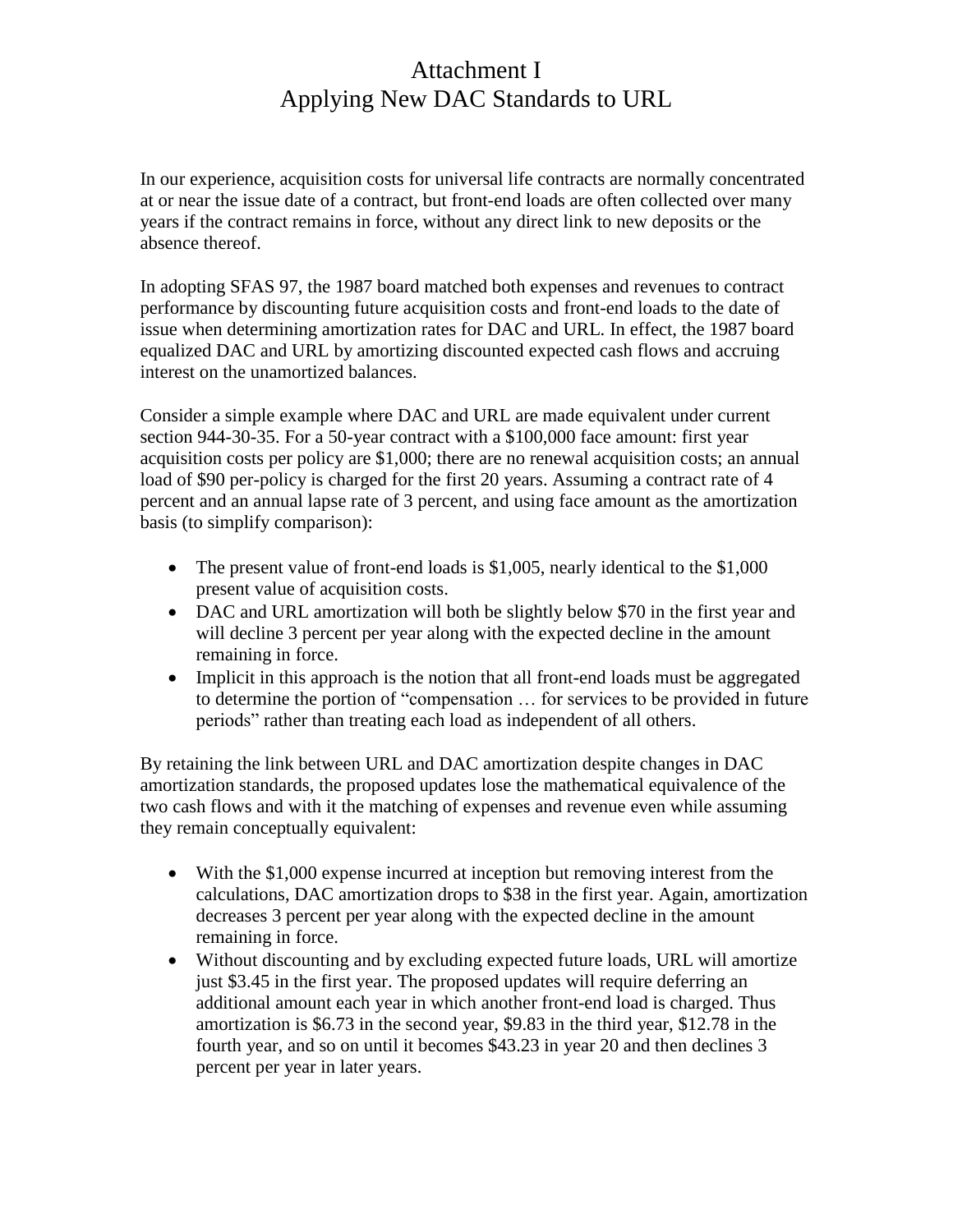## Attachment I Applying New DAC Standards to URL

In our experience, acquisition costs for universal life contracts are normally concentrated at or near the issue date of a contract, but front-end loads are often collected over many years if the contract remains in force, without any direct link to new deposits or the absence thereof.

In adopting SFAS 97, the 1987 board matched both expenses and revenues to contract performance by discounting future acquisition costs and front-end loads to the date of issue when determining amortization rates for DAC and URL. In effect, the 1987 board equalized DAC and URL by amortizing discounted expected cash flows and accruing interest on the unamortized balances.

Consider a simple example where DAC and URL are made equivalent under current section 944-30-35. For a 50-year contract with a \$100,000 face amount: first year acquisition costs per policy are \$1,000; there are no renewal acquisition costs; an annual load of \$90 per-policy is charged for the first 20 years. Assuming a contract rate of 4 percent and an annual lapse rate of 3 percent, and using face amount as the amortization basis (to simplify comparison):

- The present value of front-end loads is \$1,005, nearly identical to the \$1,000 present value of acquisition costs.
- DAC and URL amortization will both be slightly below \$70 in the first year and will decline 3 percent per year along with the expected decline in the amount remaining in force.
- Implicit in this approach is the notion that all front-end loads must be aggregated to determine the portion of "compensation … for services to be provided in future periods" rather than treating each load as independent of all others.

By retaining the link between URL and DAC amortization despite changes in DAC amortization standards, the proposed updates lose the mathematical equivalence of the two cash flows and with it the matching of expenses and revenue even while assuming they remain conceptually equivalent:

- With the \$1,000 expense incurred at inception but removing interest from the calculations, DAC amortization drops to \$38 in the first year. Again, amortization decreases 3 percent per year along with the expected decline in the amount remaining in force.
- Without discounting and by excluding expected future loads, URL will amortize just \$3.45 in the first year. The proposed updates will require deferring an additional amount each year in which another front-end load is charged. Thus amortization is \$6.73 in the second year, \$9.83 in the third year, \$12.78 in the fourth year, and so on until it becomes \$43.23 in year 20 and then declines 3 percent per year in later years.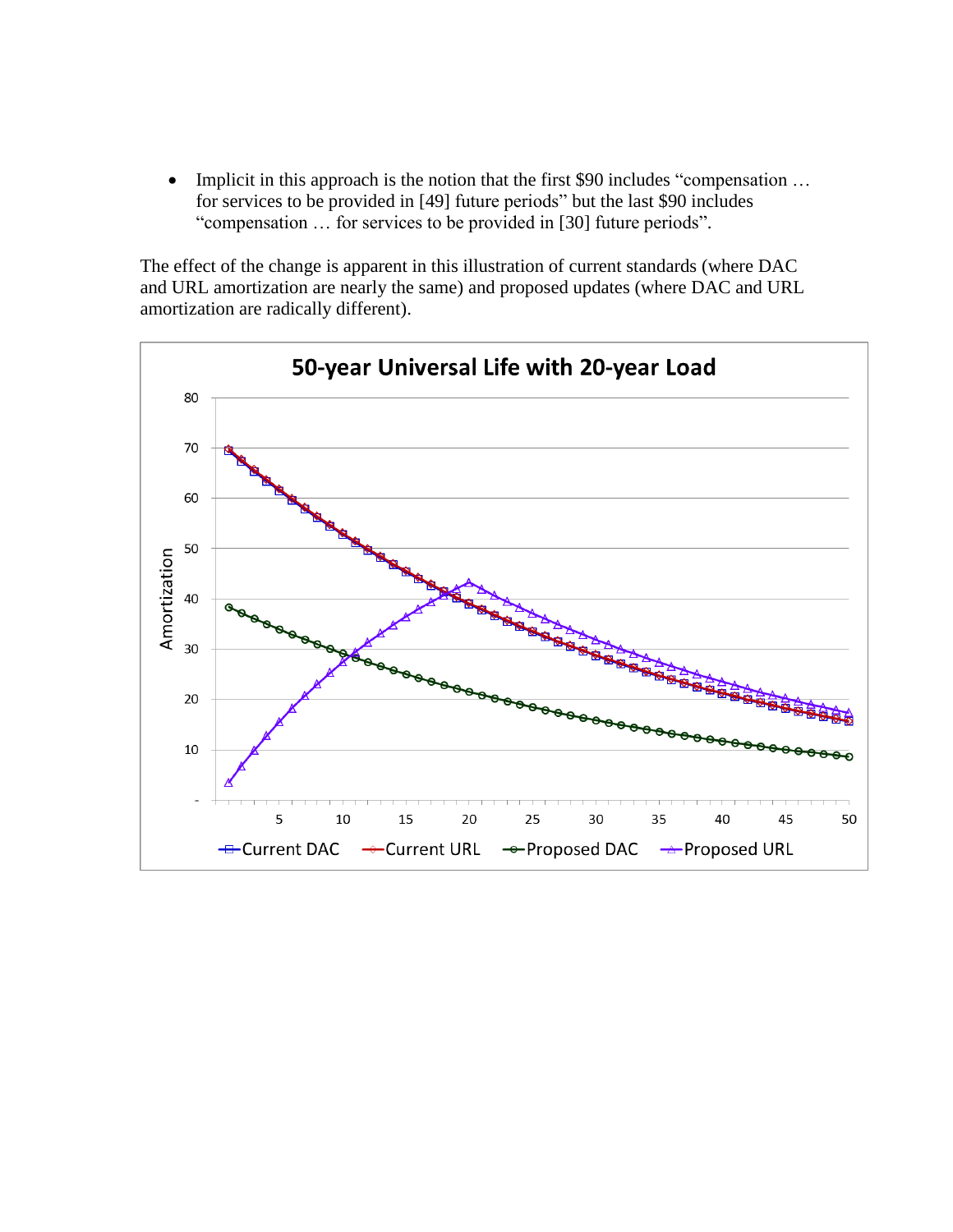• Implicit in this approach is the notion that the first \$90 includes "compensation ... for services to be provided in [49] future periods" but the last \$90 includes "compensation … for services to be provided in [30] future periods".

The effect of the change is apparent in this illustration of current standards (where DAC and URL amortization are nearly the same) and proposed updates (where DAC and URL amortization are radically different).

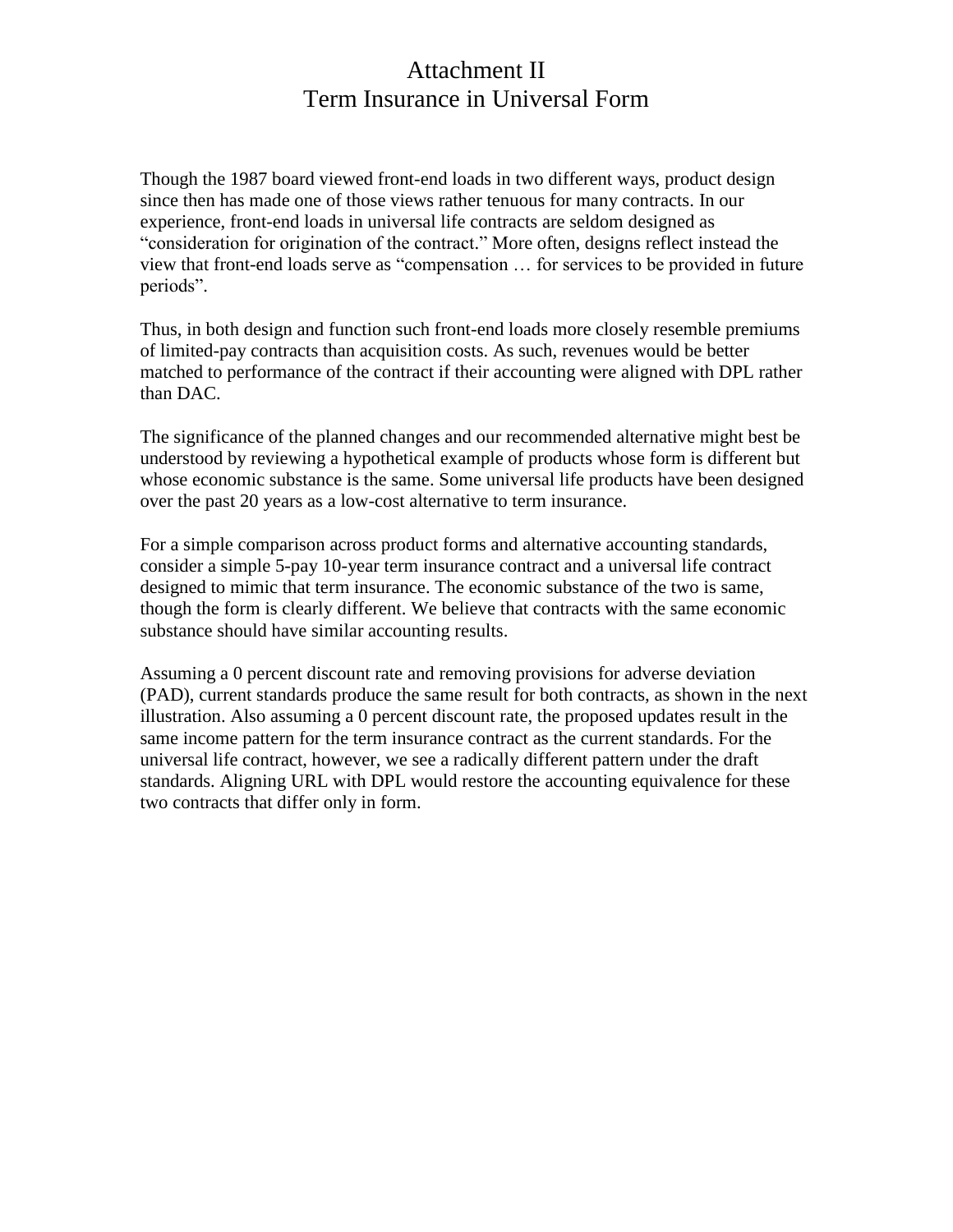## Attachment II Term Insurance in Universal Form

Though the 1987 board viewed front-end loads in two different ways, product design since then has made one of those views rather tenuous for many contracts. In our experience, front-end loads in universal life contracts are seldom designed as "consideration for origination of the contract." More often, designs reflect instead the view that front-end loads serve as "compensation … for services to be provided in future periods".

Thus, in both design and function such front-end loads more closely resemble premiums of limited-pay contracts than acquisition costs. As such, revenues would be better matched to performance of the contract if their accounting were aligned with DPL rather than DAC.

The significance of the planned changes and our recommended alternative might best be understood by reviewing a hypothetical example of products whose form is different but whose economic substance is the same. Some universal life products have been designed over the past 20 years as a low-cost alternative to term insurance.

For a simple comparison across product forms and alternative accounting standards, consider a simple 5-pay 10-year term insurance contract and a universal life contract designed to mimic that term insurance. The economic substance of the two is same, though the form is clearly different. We believe that contracts with the same economic substance should have similar accounting results.

Assuming a 0 percent discount rate and removing provisions for adverse deviation (PAD), current standards produce the same result for both contracts, as shown in the next illustration. Also assuming a 0 percent discount rate, the proposed updates result in the same income pattern for the term insurance contract as the current standards. For the universal life contract, however, we see a radically different pattern under the draft standards. Aligning URL with DPL would restore the accounting equivalence for these two contracts that differ only in form.